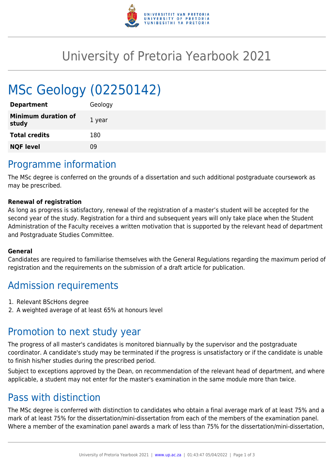

## University of Pretoria Yearbook 2021

# MSc Geology (02250142)

| <b>Department</b>                   | Geology |
|-------------------------------------|---------|
| <b>Minimum duration of</b><br>study | 1 year  |
| <b>Total credits</b>                | 180     |
| <b>NQF level</b>                    | 09      |
|                                     |         |

#### Programme information

The MSc degree is conferred on the grounds of a dissertation and such additional postgraduate coursework as may be prescribed.

#### **Renewal of registration**

As long as progress is satisfactory, renewal of the registration of a master's student will be accepted for the second year of the study. Registration for a third and subsequent years will only take place when the Student Administration of the Faculty receives a written motivation that is supported by the relevant head of department and Postgraduate Studies Committee.

#### **General**

Candidates are required to familiarise themselves with the General Regulations regarding the maximum period of registration and the requirements on the submission of a draft article for publication.

### Admission requirements

- 1. Relevant BScHons degree
- 2. A weighted average of at least 65% at honours level

### Promotion to next study year

The progress of all master's candidates is monitored biannually by the supervisor and the postgraduate coordinator. A candidate's study may be terminated if the progress is unsatisfactory or if the candidate is unable to finish his/her studies during the prescribed period.

Subject to exceptions approved by the Dean, on recommendation of the relevant head of department, and where applicable, a student may not enter for the master's examination in the same module more than twice.

### Pass with distinction

The MSc degree is conferred with distinction to candidates who obtain a final average mark of at least 75% and a mark of at least 75% for the dissertation/mini-dissertation from each of the members of the examination panel. Where a member of the examination panel awards a mark of less than 75% for the dissertation/mini-dissertation,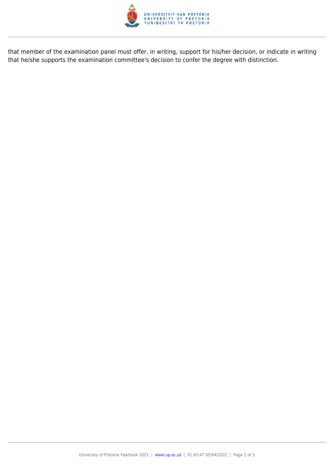

that member of the examination panel must offer, in writing, support for his/her decision, or indicate in writing that he/she supports the examination committee's decision to confer the degree with distinction.